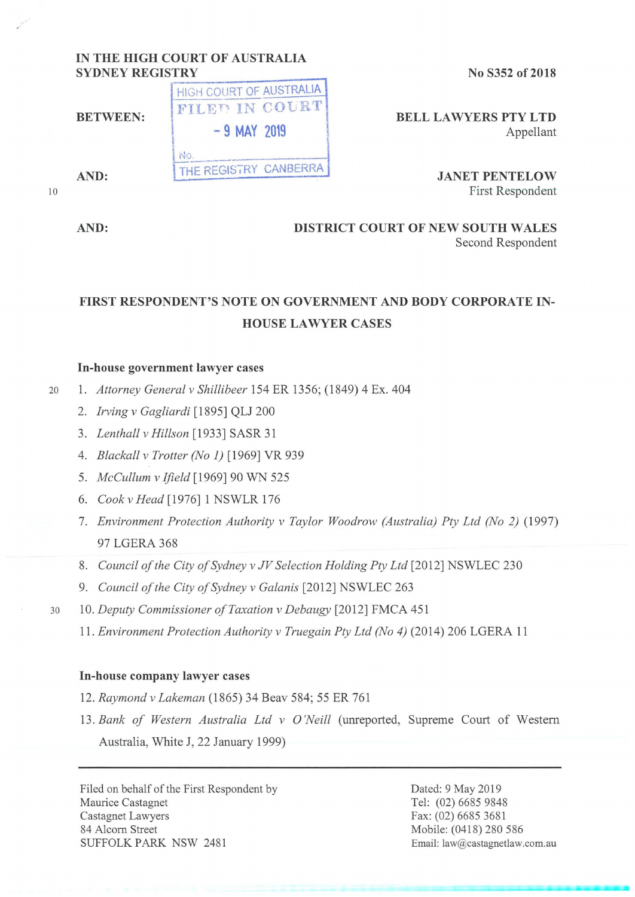# **IN THE HIGH COURT OF AUSTRALIA**

**No S352 of 2018** 

**HIGH COURT OF AUSTRALIA** 1

**BELL LA WYERS PTY LTD**  Appellant

> **JANET PENTELOW**  First Respondent

## **AND: DISTRICT COURT OF NEW SOUTH WALES**

Second Respondent

### **FIRST RESPONDENT'S NOTE ON GOVERNMENT AND BODY CORPORATE IN-HOUSE LA WYER CASES**

### **In-house government lawyer cases**

- 20 **1.** *Attorney General v Shillibeer* 154 ER 1356; (1849) 4 Ex. 404
	- 2. *Irving v Gagliardi* [ 1895] QLJ 200
	- 3. *Lenthall v Hillson* [1933] SASR 31
	- 4. *Blackall v Trotter (No 1)* [1969] VR 939
	- 5. *Mccullum v Jjield* [1969] 90 WN 525
	- 6. *Cook v Head* [1976] **1** NSWLR 176
	- 7. *Environment Protection Authority v Taylor Woodrow (Australia) Pty Ltd (No 2)* (1997) 97 LOERA 368
	- 8. *Council of the City of Sydney v JV Selection Holding Pty Ltd* [2012] NSWLEC 230
	- 9. *Council of the City of Sydney v Galanis* [2012] NSWLEC 263
- 30 10. *Deputy Commissioner of Taxation v Debaugy* [2012] FMCA 451
	- 11. *Environment Protection Authority v Truegain Pty Ltd (No 4)* (2014) 206 LGERA 11

#### **In-house company lawyer cases**

- 12. *Raymond v Lakeman* (1865) 34 Beav 584; 55 ER 761
- 13. *Bank of Western Australia Ltd v O'Neill* (unreported, Supreme Court of Western Australia, White J, 22 January 1999)

Filed on behalf of the First Respondent by Maurice Castagnet Castagnet Lawyers 84 Alcorn Street SUFFOLK PARK NSW 2481

Dated: 9 May 2019 Tel: (02) 6685 9848 Fax: (02) 6685 3681 Mobile: (0418) 280 586 Email: law@castagnetlaw.com.au

**BETWEEN:** FILED IN COURT<br>-9 MAY 2019 AND: THE REGISTRY CANBERRA

10